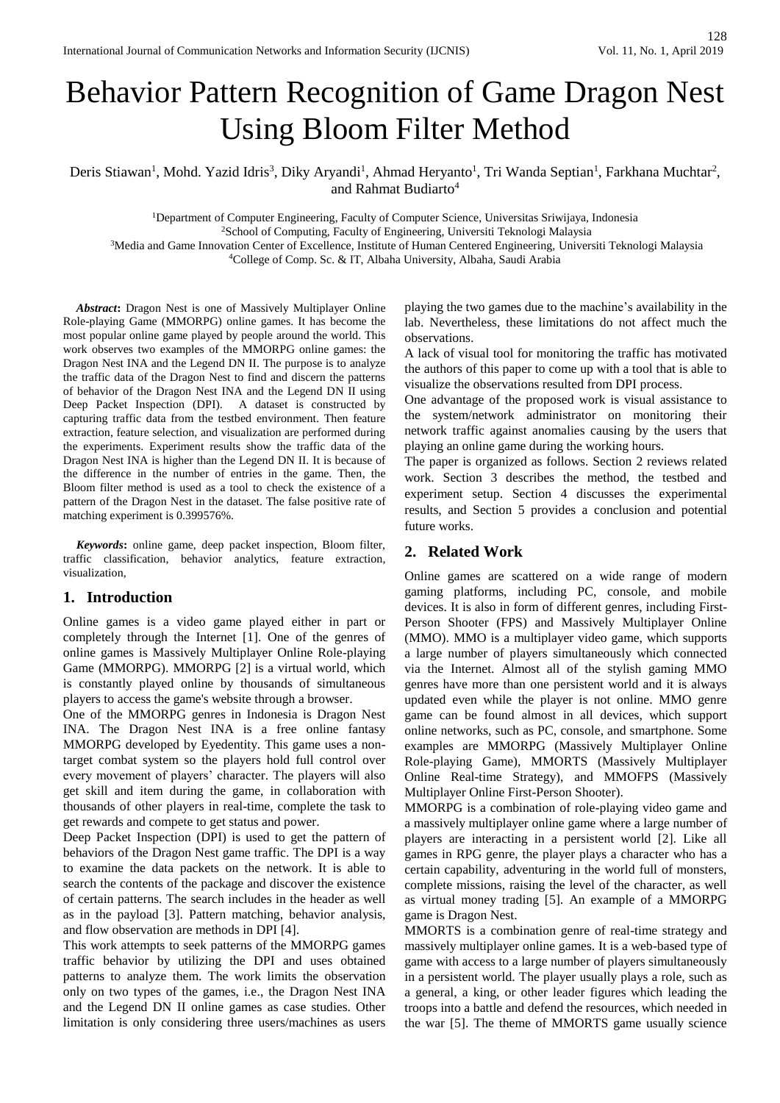# Behavior Pattern Recognition of Game Dragon Nest Using Bloom Filter Method

Deris Stiawan<sup>1</sup>, Mohd. Yazid Idris<sup>3</sup>, Diky Aryandi<sup>1</sup>, Ahmad Heryanto<sup>1</sup>, Tri Wanda Septian<sup>1</sup>, Farkhana Muchtar<sup>2</sup>, and Rahmat Budiarto<sup>4</sup>

<sup>1</sup>Department of Computer Engineering, Faculty of Computer Science, Universitas Sriwijaya, Indonesia <sup>2</sup>School of Computing, Faculty of Engineering, Universiti Teknologi Malaysia <sup>3</sup>Media and Game Innovation Center of Excellence, Institute of Human Centered Engineering, Universiti Teknologi Malaysia <sup>4</sup>College of Comp. Sc. & IT, Albaha University, Albaha, Saudi Arabia

*Abstract***:** Dragon Nest is one of Massively Multiplayer Online Role-playing Game (MMORPG) online games. It has become the most popular online game played by people around the world. This work observes two examples of the MMORPG online games: the Dragon Nest INA and the Legend DN II. The purpose is to analyze the traffic data of the Dragon Nest to find and discern the patterns of behavior of the Dragon Nest INA and the Legend DN II using Deep Packet Inspection (DPI). A dataset is constructed by capturing traffic data from the testbed environment. Then feature extraction, feature selection, and visualization are performed during the experiments. Experiment results show the traffic data of the Dragon Nest INA is higher than the Legend DN II. It is because of the difference in the number of entries in the game. Then, the Bloom filter method is used as a tool to check the existence of a pattern of the Dragon Nest in the dataset. The false positive rate of matching experiment is 0.399576%.

*Keywords***:** online game, deep packet inspection, Bloom filter, traffic classification, behavior analytics, feature extraction, visualization,

## **1. Introduction**

Online games is a video game played either in part or completely through the Internet [1]. One of the genres of online games is Massively Multiplayer Online Role-playing Game (MMORPG). MMORPG [2] is a virtual world, which is constantly played online by thousands of simultaneous players to access the game's website through a browser.

One of the MMORPG genres in Indonesia is Dragon Nest INA. The Dragon Nest INA is a free online fantasy MMORPG developed by Eyedentity. This game uses a nontarget combat system so the players hold full control over every movement of players' character. The players will also get skill and item during the game, in collaboration with thousands of other players in real-time, complete the task to get rewards and compete to get status and power.

Deep Packet Inspection (DPI) is used to get the pattern of behaviors of the Dragon Nest game traffic. The DPI is a way to examine the data packets on the network. It is able to search the contents of the package and discover the existence of certain patterns. The search includes in the header as well as in the payload [3]. Pattern matching, behavior analysis, and flow observation are methods in DPI [4].

This work attempts to seek patterns of the MMORPG games traffic behavior by utilizing the DPI and uses obtained patterns to analyze them. The work limits the observation only on two types of the games, i.e., the Dragon Nest INA and the Legend DN II online games as case studies. Other limitation is only considering three users/machines as users

playing the two games due to the machine's availability in the lab. Nevertheless, these limitations do not affect much the observations.

A lack of visual tool for monitoring the traffic has motivated the authors of this paper to come up with a tool that is able to visualize the observations resulted from DPI process.

One advantage of the proposed work is visual assistance to the system/network administrator on monitoring their network traffic against anomalies causing by the users that playing an online game during the working hours.

The paper is organized as follows. Section 2 reviews related work. Section 3 describes the method, the testbed and experiment setup. Section 4 discusses the experimental results, and Section 5 provides a conclusion and potential future works.

# **2. Related Work**

Online games are scattered on a wide range of modern gaming platforms, including PC, console, and mobile devices. It is also in form of different genres, including First-Person Shooter (FPS) and Massively Multiplayer Online (MMO). MMO is a multiplayer video game, which supports a large number of players simultaneously which connected via the Internet. Almost all of the stylish gaming MMO genres have more than one persistent world and it is always updated even while the player is not online. MMO genre game can be found almost in all devices, which support online networks, such as PC, console, and smartphone. Some examples are MMORPG (Massively Multiplayer Online Role-playing Game), MMORTS (Massively Multiplayer Online Real-time Strategy), and MMOFPS (Massively Multiplayer Online First-Person Shooter).

MMORPG is a combination of role-playing video game and a massively multiplayer online game where a large number of players are interacting in a persistent world [2]. Like all games in RPG genre, the player plays a character who has a certain capability, adventuring in the world full of monsters, complete missions, raising the level of the character, as well as virtual money trading [5]. An example of a MMORPG game is Dragon Nest.

MMORTS is a combination genre of real-time strategy and massively multiplayer online games. It is a web-based type of game with access to a large number of players simultaneously in a persistent world. The player usually plays a role, such as a general, a king, or other leader figures which leading the troops into a battle and defend the resources, which needed in the war [5]. The theme of MMORTS game usually science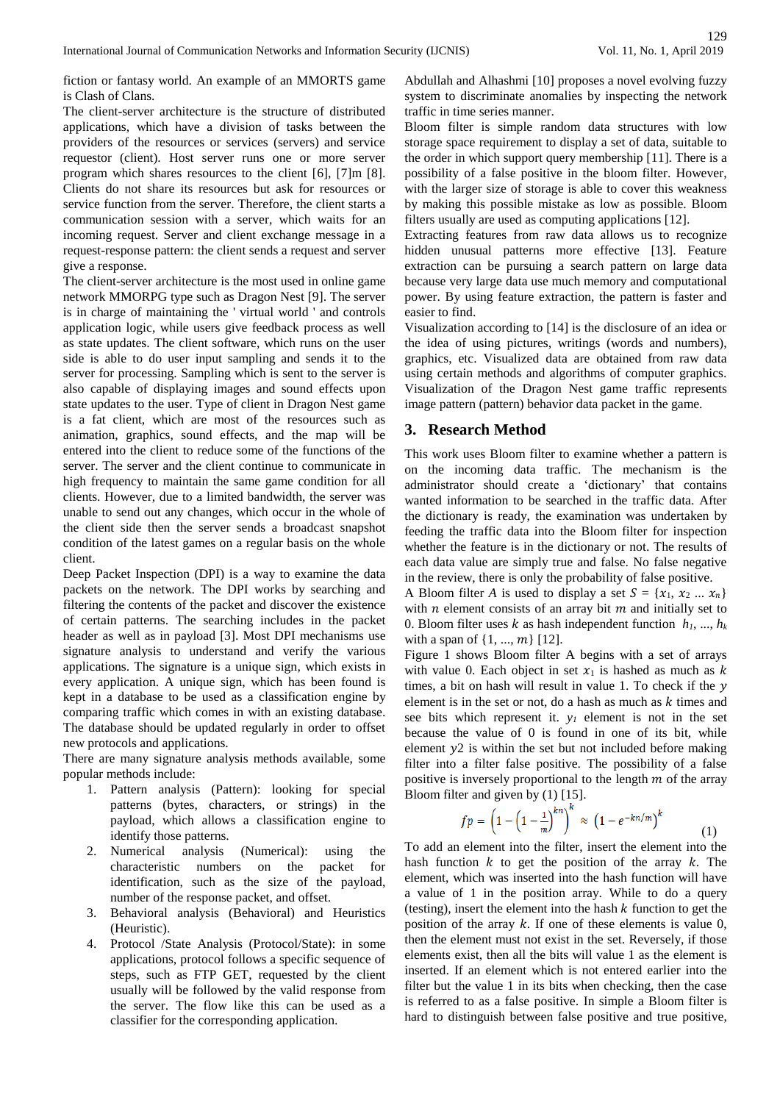fiction or fantasy world. An example of an MMORTS game is Clash of Clans.

The client-server architecture is the structure of distributed applications, which have a division of tasks between the providers of the resources or services (servers) and service requestor (client). Host server runs one or more server program which shares resources to the client [6], [7]m [8]. Clients do not share its resources but ask for resources or service function from the server. Therefore, the client starts a communication session with a server, which waits for an incoming request. Server and client exchange message in a request-response pattern: the client sends a request and server give a response.

The client-server architecture is the most used in online game network MMORPG type such as Dragon Nest [9]. The server is in charge of maintaining the ' virtual world ' and controls application logic, while users give feedback process as well as state updates. The client software, which runs on the user side is able to do user input sampling and sends it to the server for processing. Sampling which is sent to the server is also capable of displaying images and sound effects upon state updates to the user. Type of client in Dragon Nest game is a fat client, which are most of the resources such as animation, graphics, sound effects, and the map will be entered into the client to reduce some of the functions of the server. The server and the client continue to communicate in high frequency to maintain the same game condition for all clients. However, due to a limited bandwidth, the server was unable to send out any changes, which occur in the whole of the client side then the server sends a broadcast snapshot condition of the latest games on a regular basis on the whole client.

Deep Packet Inspection (DPI) is a way to examine the data packets on the network. The DPI works by searching and filtering the contents of the packet and discover the existence of certain patterns. The searching includes in the packet header as well as in payload [3]. Most DPI mechanisms use signature analysis to understand and verify the various applications. The signature is a unique sign, which exists in every application. A unique sign, which has been found is kept in a database to be used as a classification engine by comparing traffic which comes in with an existing database. The database should be updated regularly in order to offset new protocols and applications.

There are many signature analysis methods available, some popular methods include:

- 1. Pattern analysis (Pattern): looking for special patterns (bytes, characters, or strings) in the payload, which allows a classification engine to identify those patterns.
- 2. Numerical analysis (Numerical): using the characteristic numbers on the packet for identification, such as the size of the payload, number of the response packet, and offset.
- 3. Behavioral analysis (Behavioral) and Heuristics (Heuristic).
- 4. Protocol /State Analysis (Protocol/State): in some applications, protocol follows a specific sequence of steps, such as FTP GET, requested by the client usually will be followed by the valid response from the server. The flow like this can be used as a classifier for the corresponding application.

Abdullah and Alhashmi [10] proposes a novel evolving fuzzy system to discriminate anomalies by inspecting the network traffic in time series manner.

Bloom filter is simple random data structures with low storage space requirement to display a set of data, suitable to the order in which support query membership [11]. There is a possibility of a false positive in the bloom filter. However, with the larger size of storage is able to cover this weakness by making this possible mistake as low as possible. Bloom filters usually are used as computing applications [12].

Extracting features from raw data allows us to recognize hidden unusual patterns more effective [13]. Feature extraction can be pursuing a search pattern on large data because very large data use much memory and computational power. By using feature extraction, the pattern is faster and easier to find.

Visualization according to [14] is the disclosure of an idea or the idea of using pictures, writings (words and numbers), graphics, etc. Visualized data are obtained from raw data using certain methods and algorithms of computer graphics. Visualization of the Dragon Nest game traffic represents image pattern (pattern) behavior data packet in the game.

# **3. Research Method**

This work uses Bloom filter to examine whether a pattern is on the incoming data traffic. The mechanism is the administrator should create a 'dictionary' that contains wanted information to be searched in the traffic data. After the dictionary is ready, the examination was undertaken by feeding the traffic data into the Bloom filter for inspection whether the feature is in the dictionary or not. The results of each data value are simply true and false. No false negative in the review, there is only the probability of false positive.

A Bloom filter *A* is used to display a set  $S = \{x_1, x_2 ... x_n\}$ with  $n$  element consists of an array bit  $m$  and initially set to 0. Bloom filter uses  $k$  as hash independent function  $h_1, ..., h_k$ with a span of  $\{1, ..., m\}$  [12].

Figure 1 shows Bloom filter A begins with a set of arrays with value 0. Each object in set  $x_1$  is hashed as much as k times, a bit on hash will result in value 1. To check if the  $y$ element is in the set or not, do a hash as much as  $k$  times and see bits which represent it.  $y<sub>I</sub>$  element is not in the set because the value of 0 is found in one of its bit, while element  $y2$  is within the set but not included before making filter into a filter false positive. The possibility of a false positive is inversely proportional to the length  $m$  of the array Bloom filter and given by (1) [15].

$$
fp = \left(1 - \left(1 - \frac{1}{m}\right)^{kn}\right)^k \approx \left(1 - e^{-kn/m}\right)^k \tag{1}
$$

To add an element into the filter, insert the element into the hash function  $k$  to get the position of the array  $k$ . The element, which was inserted into the hash function will have a value of 1 in the position array. While to do a query (testing), insert the element into the hash  $k$  function to get the position of the array  $k$ . If one of these elements is value  $0$ , then the element must not exist in the set. Reversely, if those elements exist, then all the bits will value 1 as the element is inserted. If an element which is not entered earlier into the filter but the value 1 in its bits when checking, then the case is referred to as a false positive. In simple a Bloom filter is hard to distinguish between false positive and true positive,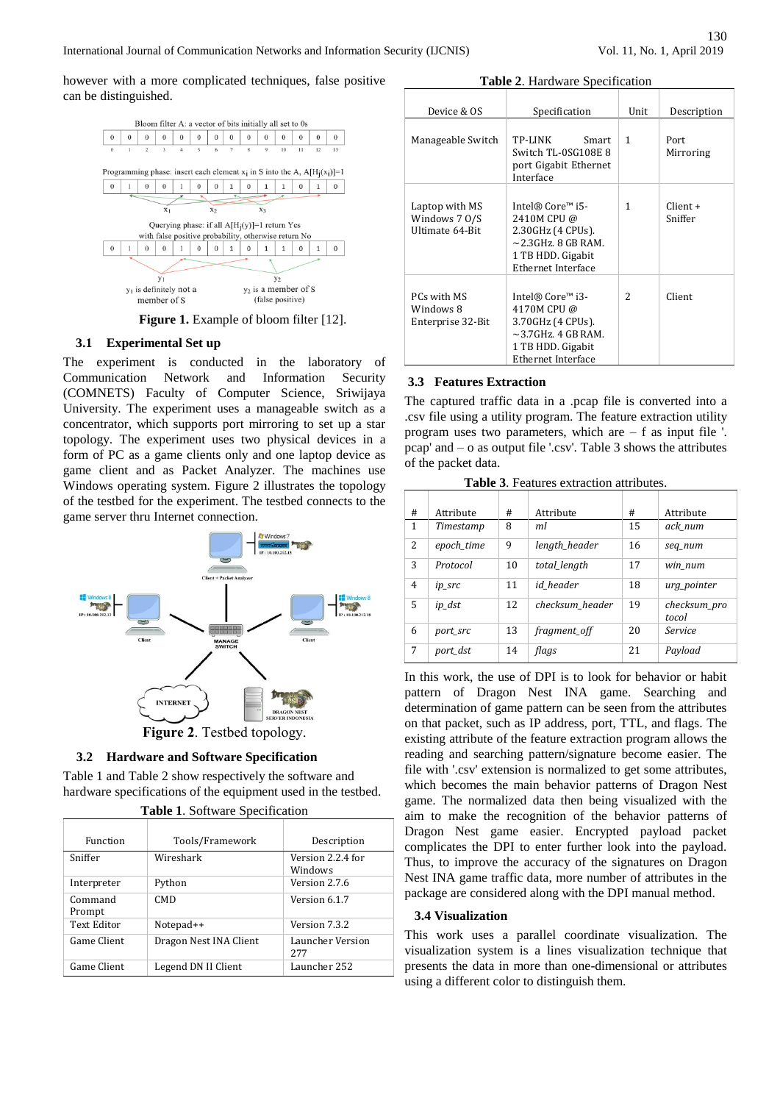however with a more complicated techniques, false positive can be distinguished.



**Figure 1.** Example of bloom filter [12].

#### **3.1 Experimental Set up**

The experiment is conducted in the laboratory of Communication Network and Information Security (COMNETS) Faculty of Computer Science, Sriwijaya University. The experiment uses a manageable switch as a concentrator, which supports port mirroring to set up a star topology. The experiment uses two physical devices in a form of PC as a game clients only and one laptop device as game client and as Packet Analyzer. The machines use Windows operating system. Figure 2 illustrates the topology of the testbed for the experiment. The testbed connects to the game server thru Internet connection.



#### **3.2 Hardware and Software Specification**

Table 1 and Table 2 show respectively the software and hardware specifications of the equipment used in the testbed.

| Function          | Tools/Framework        | Description                  |
|-------------------|------------------------|------------------------------|
| Sniffer           | Wireshark              | Version 2.2.4 for<br>Windows |
| Interpreter       | Python                 | Version 2.7.6                |
| Command<br>Prompt | CM <sub>D</sub>        | Version 6.1.7                |
| Text Editor       | Notepad++              | Version 7.3.2                |
| Game Client       | Dragon Nest INA Client | Launcher Version<br>2.77     |
| Game Client       | Legend DN II Client    | Launcher 252                 |

|  | <b>Table 1. Software Specification</b> |  |  |
|--|----------------------------------------|--|--|

| Table 2. Hardware Specification |                                                                               |      |                   |
|---------------------------------|-------------------------------------------------------------------------------|------|-------------------|
| Device & OS                     | Specification                                                                 | Unit | Description       |
| Manageable Switch               | TP-LINK<br>Smart<br>Switch TL-0SG108E 8<br>port Gigabit Ethernet<br>Interface | 1    | Port<br>Mirroring |
|                                 |                                                                               |      |                   |

| Laptop with MS<br>Windows 7 0/S<br>Ultimate 64-Bit | Intel® Core™ i5-<br>2410M CPU @<br>2.30GHz (4 CPUs).<br>$\sim$ 2.3 GHz, 8 GB RAM.<br>1 TB HDD. Gigabit<br>Ethernet Interface | 1             | $Client +$<br>Sniffer |
|----------------------------------------------------|------------------------------------------------------------------------------------------------------------------------------|---------------|-----------------------|
| PCs with MS<br>Windows 8<br>Enterprise 32-Bit      | Intel® Core™ i3-<br>4170M CPU @<br>3.70GHz (4 CPUs).<br>$\sim$ 3.7GHz, 4 GB RAM.<br>1 TB HDD. Gigabit<br>Ethernet Interface  | $\mathcal{L}$ | Client                |

#### **3.3 Features Extraction**

The captured traffic data in a .pcap file is converted into a .csv file using a utility program. The feature extraction utility program uses two parameters, which are – f as input file '. pcap' and – o as output file '.csv'. Table 3 shows the attributes of the packet data.

**Table 3**. Features extraction attributes.

| # | Attribute  | #  | Attribute       | #  | Attribute             |
|---|------------|----|-----------------|----|-----------------------|
| 1 | Timestamp  | 8  | ml              | 15 | ack num               |
| 2 | epoch_time | 9  | length_header   | 16 | seq_num               |
| 3 | Protocol   | 10 | total length    | 17 | win num               |
| 4 | ip_src     | 11 | id header       | 18 | urg_pointer           |
| 5 | ip_dst     | 12 | checksum header | 19 | checksum pro<br>tocol |
| 6 | port_src   | 13 | fragment_off    | 20 | Service               |
| 7 | port dst   | 14 | flags           | 21 | Payload               |

In this work, the use of DPI is to look for behavior or habit pattern of Dragon Nest INA game. Searching and determination of game pattern can be seen from the attributes on that packet, such as IP address, port, TTL, and flags. The existing attribute of the feature extraction program allows the reading and searching pattern/signature become easier. The file with '.csv' extension is normalized to get some attributes, which becomes the main behavior patterns of Dragon Nest game. The normalized data then being visualized with the aim to make the recognition of the behavior patterns of Dragon Nest game easier. Encrypted payload packet complicates the DPI to enter further look into the payload. Thus, to improve the accuracy of the signatures on Dragon Nest INA game traffic data, more number of attributes in the package are considered along with the DPI manual method.

#### **3.4 Visualization**

This work uses a parallel coordinate visualization. The visualization system is a lines visualization technique that presents the data in more than one-dimensional or attributes using a different color to distinguish them.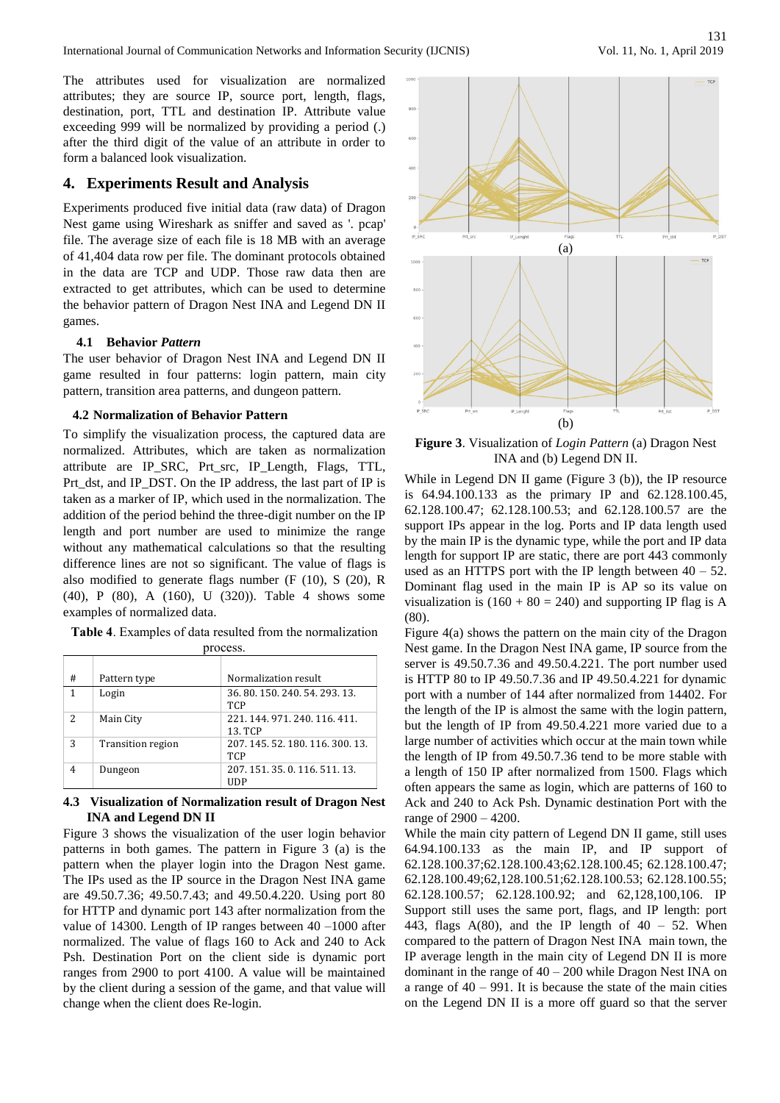International Journal of Communication Networks and Information Security (IJCNIS)

The attributes used for visualization are normalized attributes; they are source IP, source port, length, flags, destination, port, TTL and destination IP. Attribute value exceeding 999 will be normalized by providing a period (.) after the third digit of the value of an attribute in order to form a balanced look visualization.

# **4. Experiments Result and Analysis**

Experiments produced five initial data (raw data) of Dragon Nest game using Wireshark as sniffer and saved as '. pcap' file. The average size of each file is 18 MB with an average of 41,404 data row per file. The dominant protocols obtained in the data are TCP and UDP. Those raw data then are extracted to get attributes, which can be used to determine the behavior pattern of Dragon Nest INA and Legend DN II games.

#### **4.1 Behavior** *Pattern*

The user behavior of Dragon Nest INA and Legend DN II game resulted in four patterns: login pattern, main city pattern, transition area patterns, and dungeon pattern.

#### **4.2 Normalization of Behavior Pattern**

To simplify the visualization process, the captured data are normalized. Attributes, which are taken as normalization attribute are IP\_SRC, Prt\_src, IP\_Length, Flags, TTL, Prt\_dst, and IP\_DST. On the IP address, the last part of IP is taken as a marker of IP, which used in the normalization. The addition of the period behind the three-digit number on the IP length and port number are used to minimize the range without any mathematical calculations so that the resulting difference lines are not so significant. The value of flags is also modified to generate flags number (F (10), S (20), R (40), P (80), A (160), U (320)). Table 4 shows some examples of normalized data.

**Table 4**. Examples of data resulted from the normalization process.

| #             | Pattern type      | Normalization result                           |
|---------------|-------------------|------------------------------------------------|
| 1             | Login             | 36, 80, 150, 240, 54, 293, 13,<br><b>TCP</b>   |
| $\mathcal{L}$ | Main City         | 221, 144, 971, 240, 116, 411.<br>13. TCP       |
| 3             | Transition region | 207, 145, 52, 180, 116, 300, 13,<br><b>TCP</b> |
| 4             | Dungeon           | 207.151.35.0.116.511.13.<br>UDP                |

### **4.3 Visualization of Normalization result of Dragon Nest INA and Legend DN II**

Figure 3 shows the visualization of the user login behavior patterns in both games. The pattern in Figure 3 (a) is the pattern when the player login into the Dragon Nest game. The IPs used as the IP source in the Dragon Nest INA game are 49.50.7.36; 49.50.7.43; and 49.50.4.220. Using port 80 for HTTP and dynamic port 143 after normalization from the value of 14300. Length of IP ranges between 40 –1000 after normalized. The value of flags 160 to Ack and 240 to Ack Psh. Destination Port on the client side is dynamic port ranges from 2900 to port 4100. A value will be maintained by the client during a session of the game, and that value will change when the client does Re-login.



**Figure 3**. Visualization of *Login Pattern* (a) Dragon Nest INA and (b) Legend DN II.

While in Legend DN II game (Figure 3 (b)), the IP resource is 64.94.100.133 as the primary IP and 62.128.100.45, 62.128.100.47; 62.128.100.53; and 62.128.100.57 are the support IPs appear in the log. Ports and IP data length used by the main IP is the dynamic type, while the port and IP data length for support IP are static, there are port 443 commonly used as an HTTPS port with the IP length between  $40 - 52$ . Dominant flag used in the main IP is AP so its value on visualization is  $(160 + 80 = 240)$  and supporting IP flag is A (80).

Figure 4(a) shows the pattern on the main city of the Dragon Nest game. In the Dragon Nest INA game, IP source from the server is 49.50.7.36 and 49.50.4.221. The port number used is HTTP 80 to IP 49.50.7.36 and IP 49.50.4.221 for dynamic port with a number of 144 after normalized from 14402. For the length of the IP is almost the same with the login pattern, but the length of IP from 49.50.4.221 more varied due to a large number of activities which occur at the main town while the length of IP from 49.50.7.36 tend to be more stable with a length of 150 IP after normalized from 1500. Flags which often appears the same as login, which are patterns of 160 to Ack and 240 to Ack Psh. Dynamic destination Port with the range of 2900 – 4200.

While the main city pattern of Legend DN II game, still uses 64.94.100.133 as the main IP, and IP support of 62.128.100.37;62.128.100.43;62.128.100.45; 62.128.100.47; 62.128.100.49;62,128.100.51;62.128.100.53; 62.128.100.55; 62.128.100.57; 62.128.100.92; and 62,128,100,106. IP Support still uses the same port, flags, and IP length: port 443, flags  $A(80)$ , and the IP length of  $40 - 52$ . When compared to the pattern of Dragon Nest INA main town, the IP average length in the main city of Legend DN II is more dominant in the range of 40 – 200 while Dragon Nest INA on a range of  $40 - 991$ . It is because the state of the main cities on the Legend DN II is a more off guard so that the server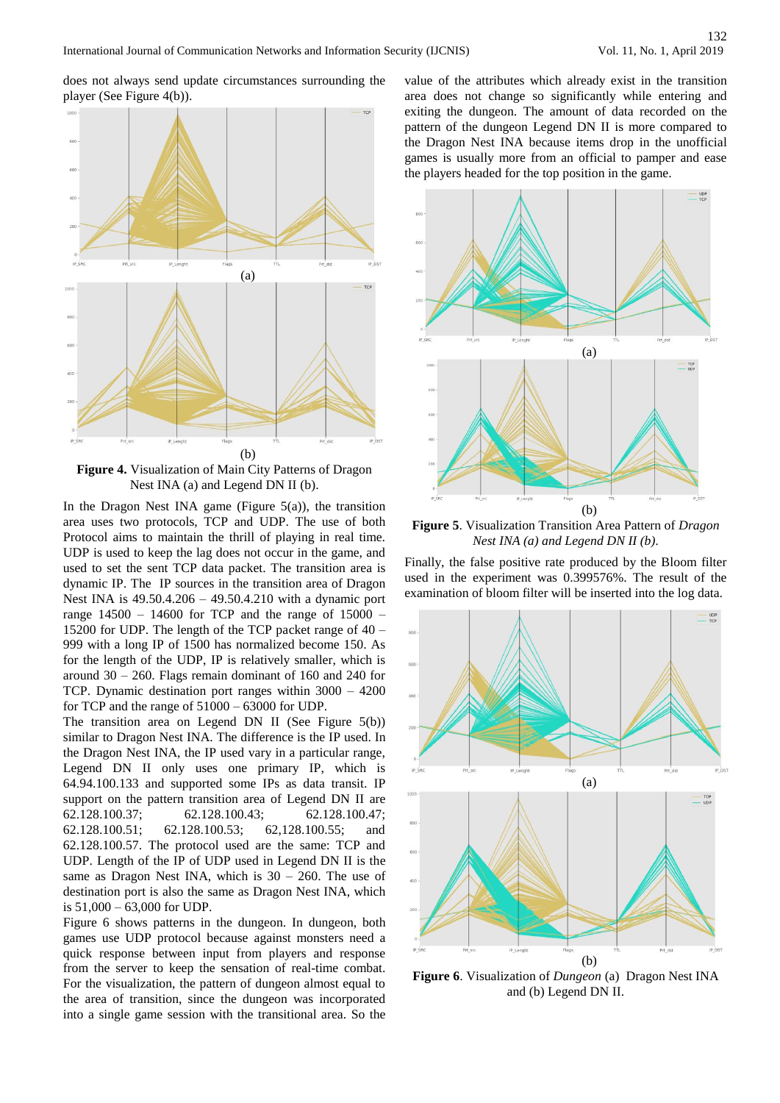does not always send update circumstances surrounding the player (See Figure 4(b)).



Nest INA (a) and Legend DN II (b).

In the Dragon Nest INA game (Figure  $5(a)$ ), the transition area uses two protocols, TCP and UDP. The use of both Protocol aims to maintain the thrill of playing in real time. UDP is used to keep the lag does not occur in the game, and used to set the sent TCP data packet. The transition area is dynamic IP. The IP sources in the transition area of Dragon Nest INA is 49.50.4.206 – 49.50.4.210 with a dynamic port range  $14500 - 14600$  for TCP and the range of  $15000 -$ 15200 for UDP. The length of the TCP packet range of 40 – 999 with a long IP of 1500 has normalized become 150. As for the length of the UDP, IP is relatively smaller, which is around 30 – 260. Flags remain dominant of 160 and 240 for TCP. Dynamic destination port ranges within 3000 – 4200 for TCP and the range of 51000 – 63000 for UDP.

The transition area on Legend DN II (See Figure 5(b)) similar to Dragon Nest INA. The difference is the IP used. In the Dragon Nest INA, the IP used vary in a particular range, Legend DN II only uses one primary IP, which is 64.94.100.133 and supported some IPs as data transit. IP support on the pattern transition area of Legend DN II are 62.128.100.37; 62.128.100.43; 62.128.100.47; 62.128.100.51; 62.128.100.53; 62,128.100.55; and 62.128.100.57. The protocol used are the same: TCP and UDP. Length of the IP of UDP used in Legend DN II is the same as Dragon Nest INA, which is  $30 - 260$ . The use of destination port is also the same as Dragon Nest INA, which is 51,000 – 63,000 for UDP.

Figure 6 shows patterns in the dungeon. In dungeon, both games use UDP protocol because against monsters need a quick response between input from players and response from the server to keep the sensation of real-time combat. For the visualization, the pattern of dungeon almost equal to the area of transition, since the dungeon was incorporated into a single game session with the transitional area. So the

value of the attributes which already exist in the transition area does not change so significantly while entering and exiting the dungeon. The amount of data recorded on the pattern of the dungeon Legend DN II is more compared to the Dragon Nest INA because items drop in the unofficial games is usually more from an official to pamper and ease the players headed for the top position in the game.



**Figure 5**. Visualization Transition Area Pattern of *Dragon Nest INA (a) and Legend DN II (b).*

Finally, the false positive rate produced by the Bloom filter used in the experiment was 0.399576%. The result of the examination of bloom filter will be inserted into the log data.



**Figure 6**. Visualization of *Dungeon* (a) Dragon Nest INA and (b) Legend DN II.